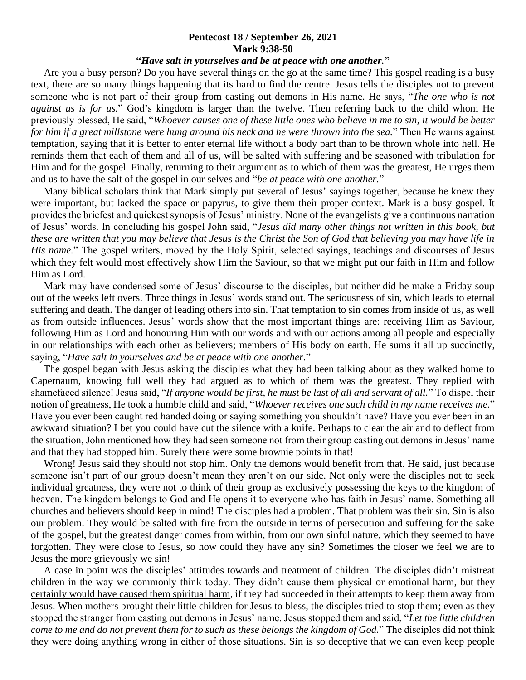## **Pentecost 18 / September 26, 2021 Mark 9:38-50**

## **"***Have salt in yourselves and be at peace with one another.***"**

 Are you a busy person? Do you have several things on the go at the same time? This gospel reading is a busy text, there are so many things happening that its hard to find the centre. Jesus tells the disciples not to prevent someone who is not part of their group from casting out demons in His name. He says, "*The one who is not against us is for us.*" God's kingdom is larger than the twelve. Then referring back to the child whom He previously blessed, He said, "*Whoever causes one of these little ones who believe in me to sin, it would be better for him if a great millstone were hung around his neck and he were thrown into the sea.*" Then He warns against temptation, saying that it is better to enter eternal life without a body part than to be thrown whole into hell. He reminds them that each of them and all of us, will be salted with suffering and be seasoned with tribulation for Him and for the gospel. Finally, returning to their argument as to which of them was the greatest, He urges them and us to have the salt of the gospel in our selves and "*be at peace with one another.*"

 Many biblical scholars think that Mark simply put several of Jesus' sayings together, because he knew they were important, but lacked the space or papyrus, to give them their proper context. Mark is a busy gospel. It provides the briefest and quickest synopsis of Jesus' ministry. None of the evangelists give a continuous narration of Jesus' words. In concluding his gospel John said, "*Jesus did many other things not written in this book, but these are written that you may believe that Jesus is the Christ the Son of God that believing you may have life in His name.*" The gospel writers, moved by the Holy Spirit, selected sayings, teachings and discourses of Jesus which they felt would most effectively show Him the Saviour, so that we might put our faith in Him and follow Him as Lord.

 Mark may have condensed some of Jesus' discourse to the disciples, but neither did he make a Friday soup out of the weeks left overs. Three things in Jesus' words stand out. The seriousness of sin, which leads to eternal suffering and death. The danger of leading others into sin. That temptation to sin comes from inside of us, as well as from outside influences. Jesus' words show that the most important things are: receiving Him as Saviour, following Him as Lord and honouring Him with our words and with our actions among all people and especially in our relationships with each other as believers; members of His body on earth. He sums it all up succinctly, saying, "*Have salt in yourselves and be at peace with one another.*"

 The gospel began with Jesus asking the disciples what they had been talking about as they walked home to Capernaum, knowing full well they had argued as to which of them was the greatest. They replied with shamefaced silence! Jesus said, "*If anyone would be first, he must be last of all and servant of all.*" To dispel their notion of greatness, He took a humble child and said, "*Whoever receives one such child in my name receives me.*" Have you ever been caught red handed doing or saying something you shouldn't have? Have you ever been in an awkward situation? I bet you could have cut the silence with a knife. Perhaps to clear the air and to deflect from the situation, John mentioned how they had seen someone not from their group casting out demons in Jesus' name and that they had stopped him. Surely there were some brownie points in that!

Wrong! Jesus said they should not stop him. Only the demons would benefit from that. He said, just because someone isn't part of our group doesn't mean they aren't on our side. Not only were the disciples not to seek individual greatness, they were not to think of their group as exclusively possessing the keys to the kingdom of heaven. The kingdom belongs to God and He opens it to everyone who has faith in Jesus' name. Something all churches and believers should keep in mind! The disciples had a problem. That problem was their sin. Sin is also our problem. They would be salted with fire from the outside in terms of persecution and suffering for the sake of the gospel, but the greatest danger comes from within, from our own sinful nature, which they seemed to have forgotten. They were close to Jesus, so how could they have any sin? Sometimes the closer we feel we are to Jesus the more grievously we sin!

 A case in point was the disciples' attitudes towards and treatment of children. The disciples didn't mistreat children in the way we commonly think today. They didn't cause them physical or emotional harm, but they certainly would have caused them spiritual harm, if they had succeeded in their attempts to keep them away from Jesus. When mothers brought their little children for Jesus to bless, the disciples tried to stop them; even as they stopped the stranger from casting out demons in Jesus' name. Jesus stopped them and said, "*Let the little children come to me and do not prevent them for to such as these belongs the kingdom of God.*" The disciples did not think they were doing anything wrong in either of those situations. Sin is so deceptive that we can even keep people